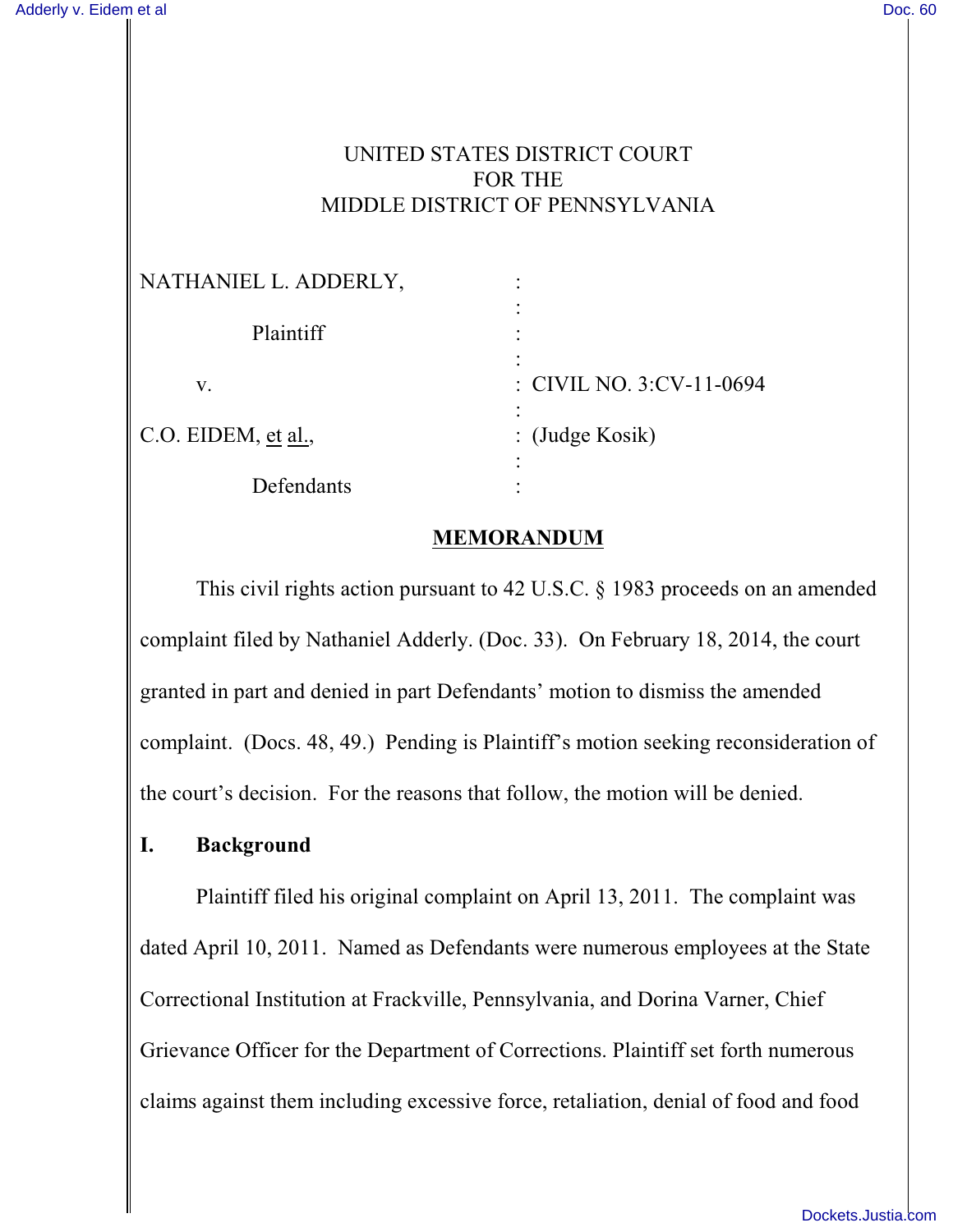## UNITED STATES DISTRICT COURT FOR THE MIDDLE DISTRICT OF PENNSYLVANIA

| NATHANIEL L. ADDERLY, |                          |
|-----------------------|--------------------------|
| Plaintiff             |                          |
| V.                    | : CIVIL NO. 3:CV-11-0694 |
| C.O. EIDEM, et al.,   | : $(Judge Kosik)$        |
| Defendants            |                          |

#### **MEMORANDUM**

This civil rights action pursuant to 42 U.S.C. § 1983 proceeds on an amended complaint filed by Nathaniel Adderly. (Doc. 33). On February 18, 2014, the court granted in part and denied in part Defendants' motion to dismiss the amended complaint. (Docs. 48, 49.) Pending is Plaintiff's motion seeking reconsideration of the court's decision. For the reasons that follow, the motion will be denied.

### **I. Background**

Plaintiff filed his original complaint on April 13, 2011. The complaint was dated April 10, 2011. Named as Defendants were numerous employees at the State Correctional Institution at Frackville, Pennsylvania, and Dorina Varner, Chief Grievance Officer for the Department of Corrections. Plaintiff set forth numerous claims against them including excessive force, retaliation, denial of food and food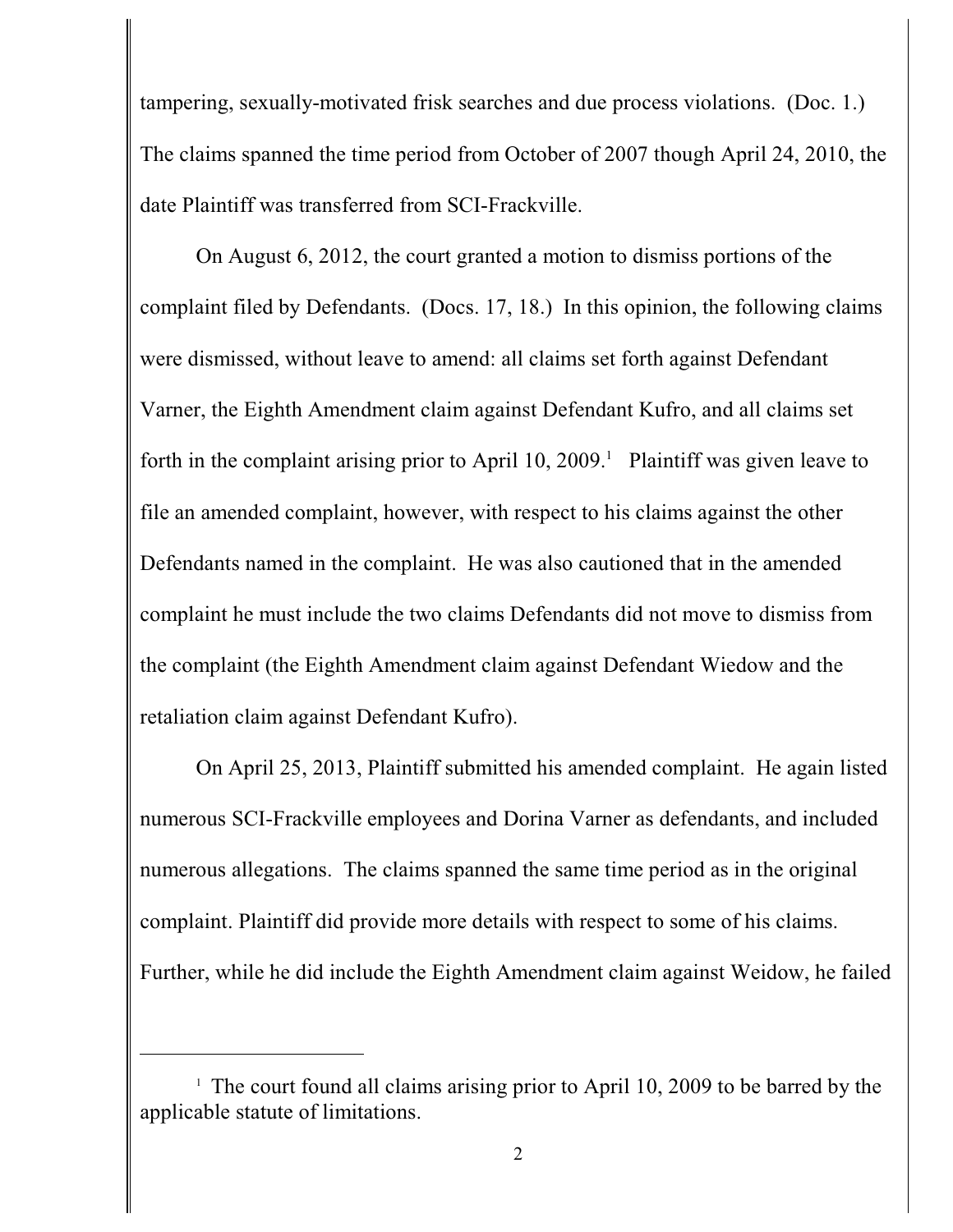tampering, sexually-motivated frisk searches and due process violations. (Doc. 1.) The claims spanned the time period from October of 2007 though April 24, 2010, the date Plaintiff was transferred from SCI-Frackville.

On August 6, 2012, the court granted a motion to dismiss portions of the complaint filed by Defendants. (Docs. 17, 18.) In this opinion, the following claims were dismissed, without leave to amend: all claims set forth against Defendant Varner, the Eighth Amendment claim against Defendant Kufro, and all claims set forth in the complaint arising prior to April 10, 2009.<sup>1</sup> Plaintiff was given leave to file an amended complaint, however, with respect to his claims against the other Defendants named in the complaint. He was also cautioned that in the amended complaint he must include the two claims Defendants did not move to dismiss from the complaint (the Eighth Amendment claim against Defendant Wiedow and the retaliation claim against Defendant Kufro).

On April 25, 2013, Plaintiff submitted his amended complaint. He again listed numerous SCI-Frackville employees and Dorina Varner as defendants, and included numerous allegations. The claims spanned the same time period as in the original complaint. Plaintiff did provide more details with respect to some of his claims. Further, while he did include the Eighth Amendment claim against Weidow, he failed

 $\pm$  The court found all claims arising prior to April 10, 2009 to be barred by the applicable statute of limitations.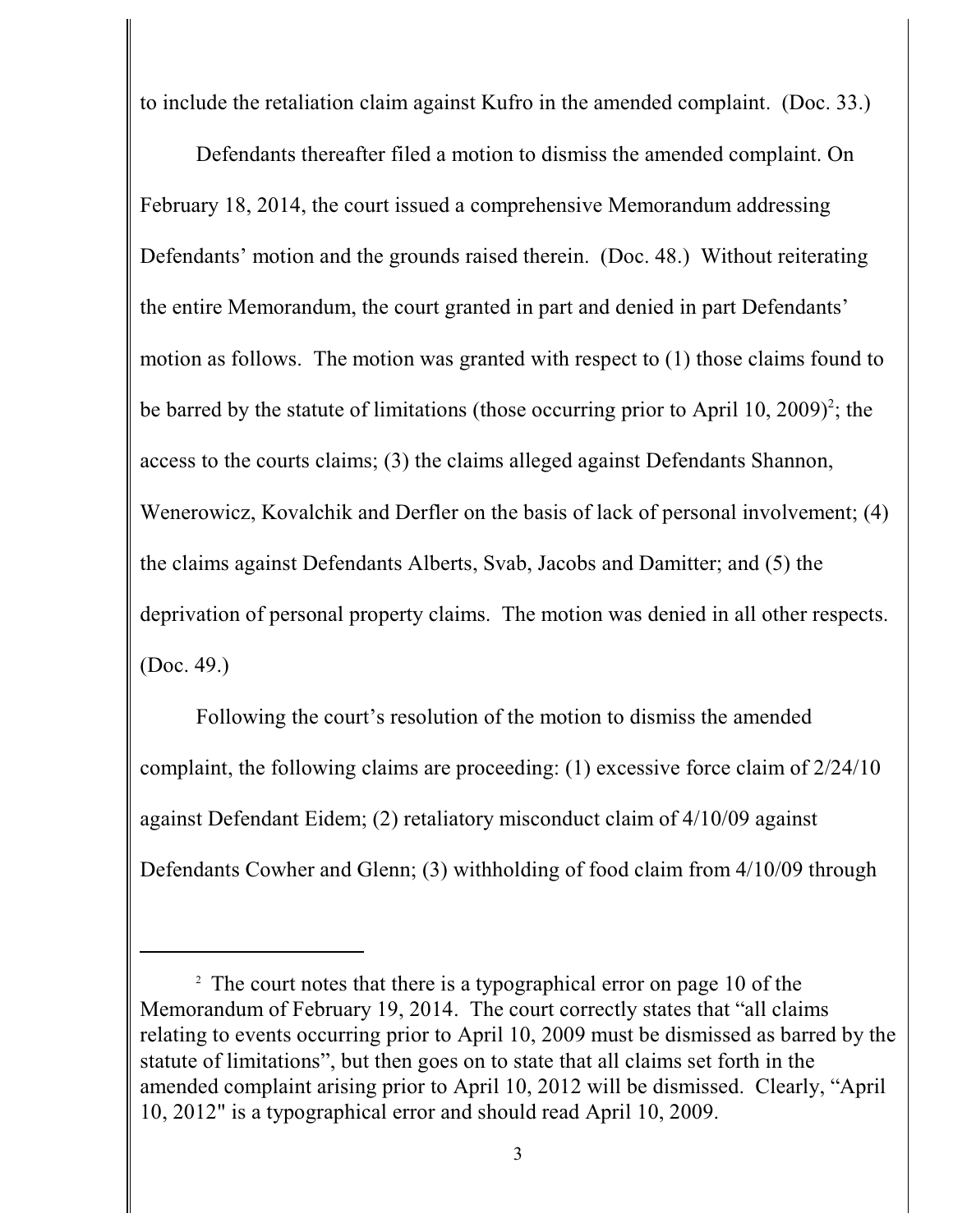to include the retaliation claim against Kufro in the amended complaint. (Doc. 33.)

Defendants thereafter filed a motion to dismiss the amended complaint. On February 18, 2014, the court issued a comprehensive Memorandum addressing Defendants' motion and the grounds raised therein. (Doc. 48.) Without reiterating the entire Memorandum, the court granted in part and denied in part Defendants' motion as follows. The motion was granted with respect to (1) those claims found to be barred by the statute of limitations (those occurring prior to April 10, 2009)<sup>2</sup>; the access to the courts claims; (3) the claims alleged against Defendants Shannon, Wenerowicz, Kovalchik and Derfler on the basis of lack of personal involvement; (4) the claims against Defendants Alberts, Svab, Jacobs and Damitter; and (5) the deprivation of personal property claims. The motion was denied in all other respects. (Doc. 49.)

Following the court's resolution of the motion to dismiss the amended complaint, the following claims are proceeding: (1) excessive force claim of 2/24/10 against Defendant Eidem; (2) retaliatory misconduct claim of 4/10/09 against Defendants Cowher and Glenn; (3) withholding of food claim from 4/10/09 through

 $\frac{1}{2}$ . The court notes that there is a typographical error on page 10 of the Memorandum of February 19, 2014. The court correctly states that "all claims relating to events occurring prior to April 10, 2009 must be dismissed as barred by the statute of limitations", but then goes on to state that all claims set forth in the amended complaint arising prior to April 10, 2012 will be dismissed. Clearly, "April 10, 2012" is a typographical error and should read April 10, 2009.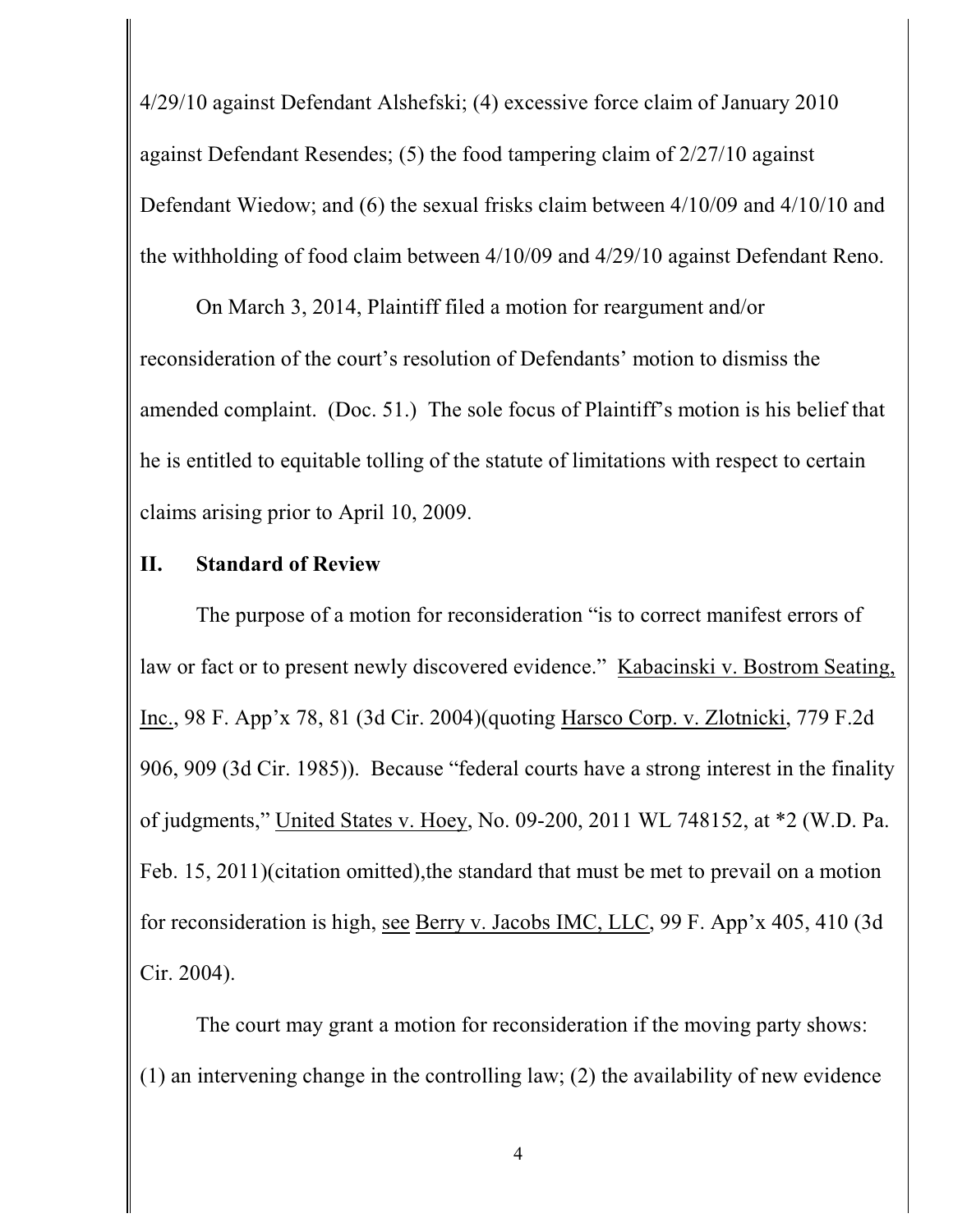4/29/10 against Defendant Alshefski; (4) excessive force claim of January 2010 against Defendant Resendes; (5) the food tampering claim of 2/27/10 against Defendant Wiedow; and (6) the sexual frisks claim between 4/10/09 and 4/10/10 and the withholding of food claim between 4/10/09 and 4/29/10 against Defendant Reno.

On March 3, 2014, Plaintiff filed a motion for reargument and/or reconsideration of the court's resolution of Defendants' motion to dismiss the amended complaint. (Doc. 51.) The sole focus of Plaintiff's motion is his belief that he is entitled to equitable tolling of the statute of limitations with respect to certain claims arising prior to April 10, 2009.

# **II. Standard of Review**

The purpose of a motion for reconsideration "is to correct manifest errors of law or fact or to present newly discovered evidence." Kabacinski v. Bostrom Seating, Inc., 98 F. App'x 78, 81 (3d Cir. 2004)(quoting Harsco Corp. v. Zlotnicki, 779 F.2d 906, 909 (3d Cir. 1985)). Because "federal courts have a strong interest in the finality of judgments," United States v. Hoey, No. 09-200, 2011 WL 748152, at \*2 (W.D. Pa. Feb. 15, 2011)(citation omitted), the standard that must be met to prevail on a motion for reconsideration is high, see Berry v. Jacobs IMC, LLC, 99 F. App'x 405, 410 (3d Cir. 2004).

The court may grant a motion for reconsideration if the moving party shows: (1) an intervening change in the controlling law; (2) the availability of new evidence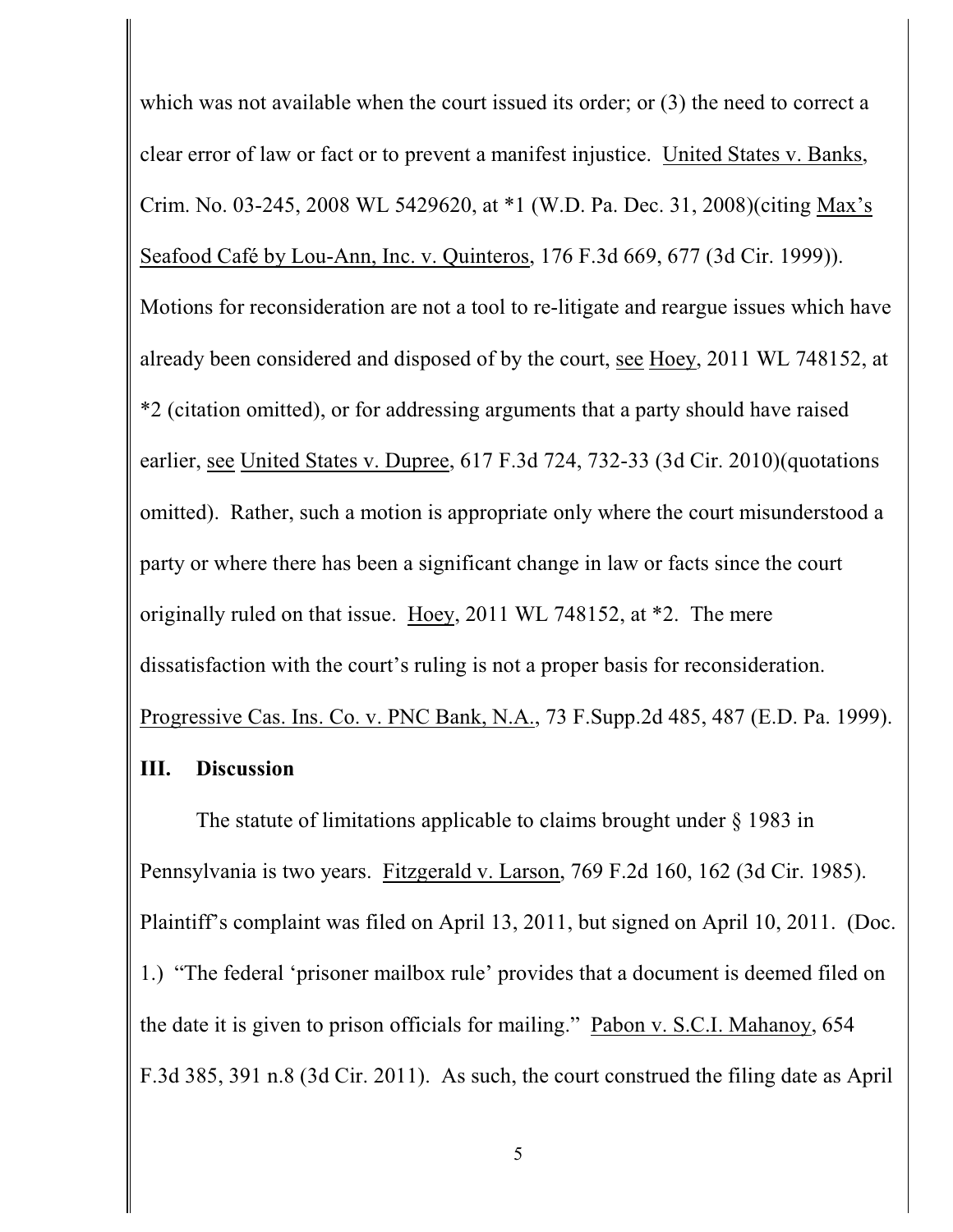which was not available when the court issued its order; or  $(3)$  the need to correct a clear error of law or fact or to prevent a manifest injustice. United States v. Banks, Crim. No. 03-245, 2008 WL 5429620, at \*1 (W.D. Pa. Dec. 31, 2008)(citing Max's Seafood Café by Lou-Ann, Inc. v. Quinteros, 176 F.3d 669, 677 (3d Cir. 1999)). Motions for reconsideration are not a tool to re-litigate and reargue issues which have already been considered and disposed of by the court, see Hoey, 2011 WL 748152, at \*2 (citation omitted), or for addressing arguments that a party should have raised earlier, see United States v. Dupree, 617 F.3d 724, 732-33 (3d Cir. 2010)(quotations omitted). Rather, such a motion is appropriate only where the court misunderstood a party or where there has been a significant change in law or facts since the court originally ruled on that issue. Hoey, 2011 WL 748152, at \*2. The mere dissatisfaction with the court's ruling is not a proper basis for reconsideration. Progressive Cas. Ins. Co. v. PNC Bank, N.A., 73 F.Supp.2d 485, 487 (E.D. Pa. 1999).

### **III. Discussion**

The statute of limitations applicable to claims brought under § 1983 in Pennsylvania is two years. Fitzgerald v. Larson, 769 F.2d 160, 162 (3d Cir. 1985). Plaintiff's complaint was filed on April 13, 2011, but signed on April 10, 2011. (Doc. 1.) "The federal 'prisoner mailbox rule' provides that a document is deemed filed on the date it is given to prison officials for mailing." Pabon v. S.C.I. Mahanoy, 654 F.3d 385, 391 n.8 (3d Cir. 2011). As such, the court construed the filing date as April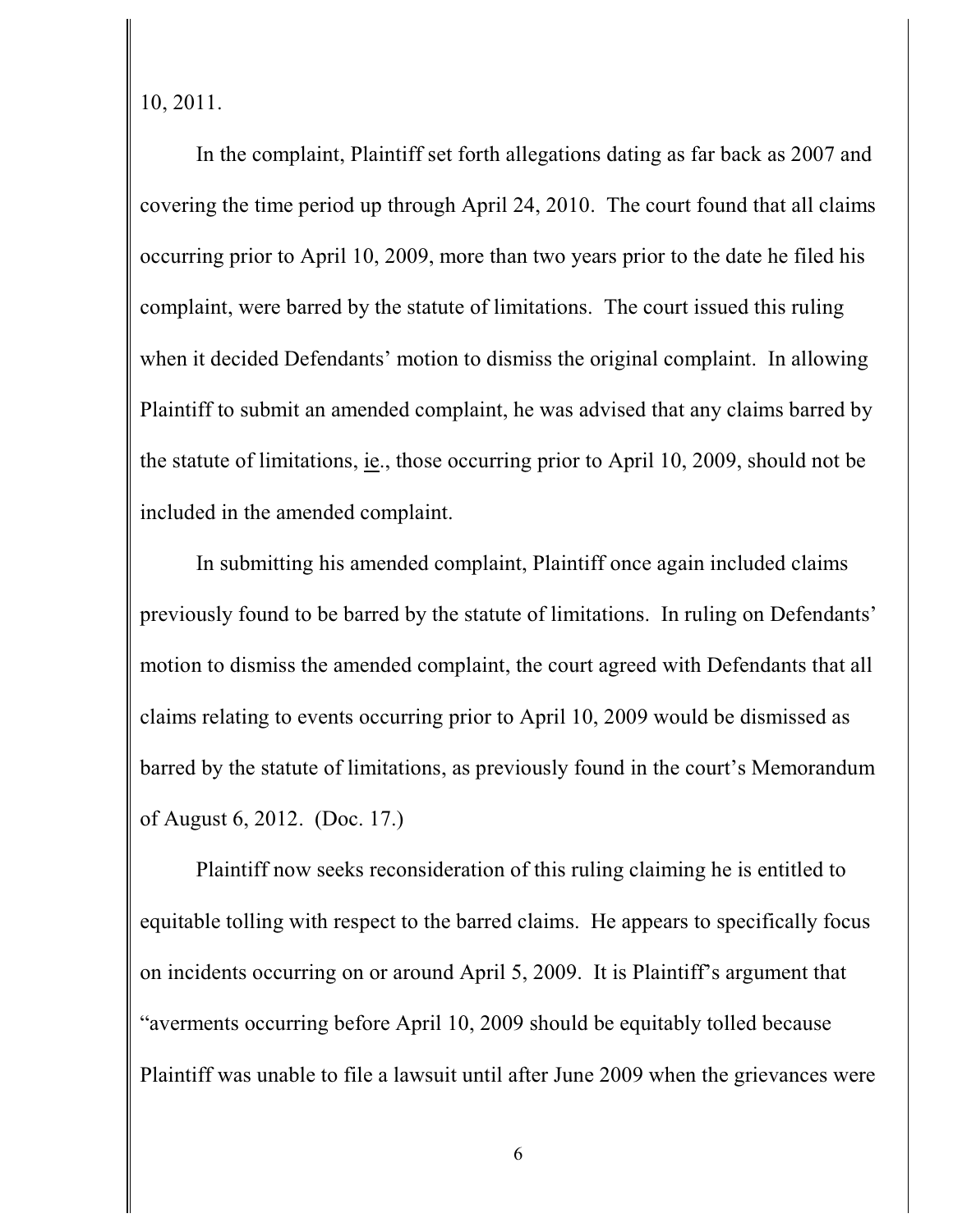10, 2011.

In the complaint, Plaintiff set forth allegations dating as far back as 2007 and covering the time period up through April 24, 2010. The court found that all claims occurring prior to April 10, 2009, more than two years prior to the date he filed his complaint, were barred by the statute of limitations. The court issued this ruling when it decided Defendants' motion to dismiss the original complaint. In allowing Plaintiff to submit an amended complaint, he was advised that any claims barred by the statute of limitations, ie., those occurring prior to April 10, 2009, should not be included in the amended complaint.

In submitting his amended complaint, Plaintiff once again included claims previously found to be barred by the statute of limitations. In ruling on Defendants' motion to dismiss the amended complaint, the court agreed with Defendants that all claims relating to events occurring prior to April 10, 2009 would be dismissed as barred by the statute of limitations, as previously found in the court's Memorandum of August 6, 2012. (Doc. 17.)

Plaintiff now seeks reconsideration of this ruling claiming he is entitled to equitable tolling with respect to the barred claims. He appears to specifically focus on incidents occurring on or around April 5, 2009. It is Plaintiff's argument that "averments occurring before April 10, 2009 should be equitably tolled because Plaintiff was unable to file a lawsuit until after June 2009 when the grievances were